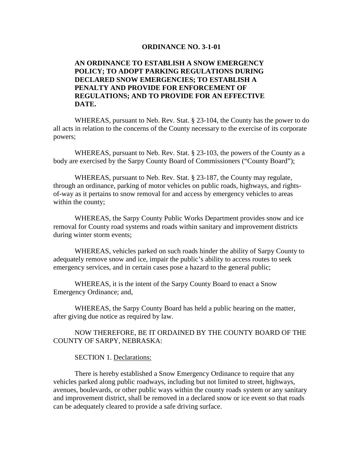#### **ORDINANCE NO. 3-1-01**

# **AN ORDINANCE TO ESTABLISH A SNOW EMERGENCY POLICY; TO ADOPT PARKING REGULATIONS DURING DECLARED SNOW EMERGENCIES; TO ESTABLISH A PENALTY AND PROVIDE FOR ENFORCEMENT OF REGULATIONS; AND TO PROVIDE FOR AN EFFECTIVE DATE.**

WHEREAS, pursuant to Neb. Rev. Stat. § 23-104, the County has the power to do all acts in relation to the concerns of the County necessary to the exercise of its corporate powers;

WHEREAS, pursuant to Neb. Rev. Stat. § 23-103, the powers of the County as a body are exercised by the Sarpy County Board of Commissioners ("County Board");

WHEREAS, pursuant to Neb. Rev. Stat. § 23-187, the County may regulate, through an ordinance, parking of motor vehicles on public roads, highways, and rightsof-way as it pertains to snow removal for and access by emergency vehicles to areas within the county;

WHEREAS, the Sarpy County Public Works Department provides snow and ice removal for County road systems and roads within sanitary and improvement districts during winter storm events;

WHEREAS, vehicles parked on such roads hinder the ability of Sarpy County to adequately remove snow and ice, impair the public's ability to access routes to seek emergency services, and in certain cases pose a hazard to the general public;

WHEREAS, it is the intent of the Sarpy County Board to enact a Snow Emergency Ordinance; and,

WHEREAS, the Sarpy County Board has held a public hearing on the matter, after giving due notice as required by law.

NOW THEREFORE, BE IT ORDAINED BY THE COUNTY BOARD OF THE COUNTY OF SARPY, NEBRASKA:

SECTION 1. Declarations:

There is hereby established a Snow Emergency Ordinance to require that any vehicles parked along public roadways, including but not limited to street, highways, avenues, boulevards, or other public ways within the county roads system or any sanitary and improvement district, shall be removed in a declared snow or ice event so that roads can be adequately cleared to provide a safe driving surface.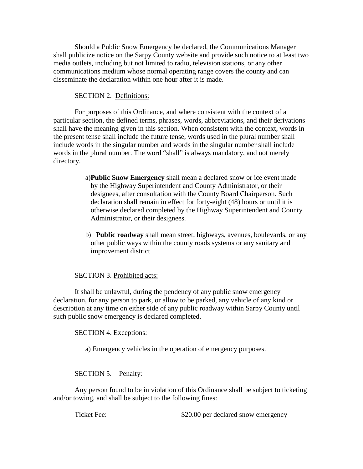Should a Public Snow Emergency be declared, the Communications Manager shall publicize notice on the Sarpy County website and provide such notice to at least two media outlets, including but not limited to radio, television stations, or any other communications medium whose normal operating range covers the county and can disseminate the declaration within one hour after it is made.

## SECTION 2. Definitions:

For purposes of this Ordinance, and where consistent with the context of a particular section, the defined terms, phrases, words, abbreviations, and their derivations shall have the meaning given in this section. When consistent with the context, words in the present tense shall include the future tense, words used in the plural number shall include words in the singular number and words in the singular number shall include words in the plural number. The word "shall" is always mandatory, and not merely directory.

- a)**Public Snow Emergency** shall mean a declared snow or ice event made by the Highway Superintendent and County Administrator, or their designees, after consultation with the County Board Chairperson. Such declaration shall remain in effect for forty-eight (48) hours or until it is otherwise declared completed by the Highway Superintendent and County Administrator, or their designees.
- b) **Public roadway** shall mean street, highways, avenues, boulevards, or any other public ways within the county roads systems or any sanitary and improvement district

# SECTION 3. Prohibited acts:

It shall be unlawful, during the pendency of any public snow emergency declaration, for any person to park, or allow to be parked, any vehicle of any kind or description at any time on either side of any public roadway within Sarpy County until such public snow emergency is declared completed.

### SECTION 4. Exceptions:

a) Emergency vehicles in the operation of emergency purposes.

### SECTION 5. Penalty:

Any person found to be in violation of this Ordinance shall be subject to ticketing and/or towing, and shall be subject to the following fines:

Ticket Fee:  $$20.00$  per declared snow emergency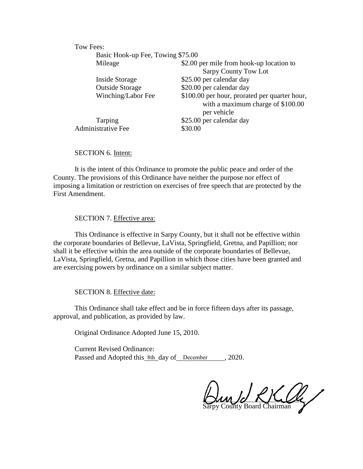#### Tow Fees:

| Basic Hook-up Fee, Towing \$75.00 |                                                                                                   |
|-----------------------------------|---------------------------------------------------------------------------------------------------|
| Mileage                           | \$2.00 per mile from hook-up location to                                                          |
|                                   | Sarpy County Tow Lot                                                                              |
| Inside Storage                    | \$25.00 per calendar day                                                                          |
| <b>Outside Storage</b>            | \$20.00 per calendar day                                                                          |
| Winching/Labor Fee                | \$100.00 per hour, prorated per quarter hour,<br>with a maximum charge of \$100.00<br>per vehicle |
| Tarping                           | \$25.00 per calendar day                                                                          |
| <b>Administrative Fee</b>         | \$30.00                                                                                           |
|                                   |                                                                                                   |

SECTION 6. Intent:

It is the intent of this Ordinance to promote the public peace and order of the County. The provisions of this Ordinance have neither the purpose nor effect of imposing a limitation or restriction on exercises of free speech that are protected by the First Amendment.

## SECTION 7. Effective area:

This Ordinance is effective in Sarpy County, but it shall not be effective within the corporate boundaries of Bellevue, LaVista, Springfield, Gretna, and Papillion; nor shall it be effective within the area outside of the corporate boundaries of Bellevue, LaVista, Springfield, Gretna, and Papillion in which those cities have been granted and are exercising powers by ordinance on a similar subject matter.

#### SECTION 8. Effective date:

This Ordinance shall take effect and be in force fifteen days after its passage, approval, and publication, as provided by law.

Original Ordinance Adopted June 15, 2010.

Current Revised Ordinance: Passed and Adopted this 8th day of December 1, 2020.

un Jo RK Og